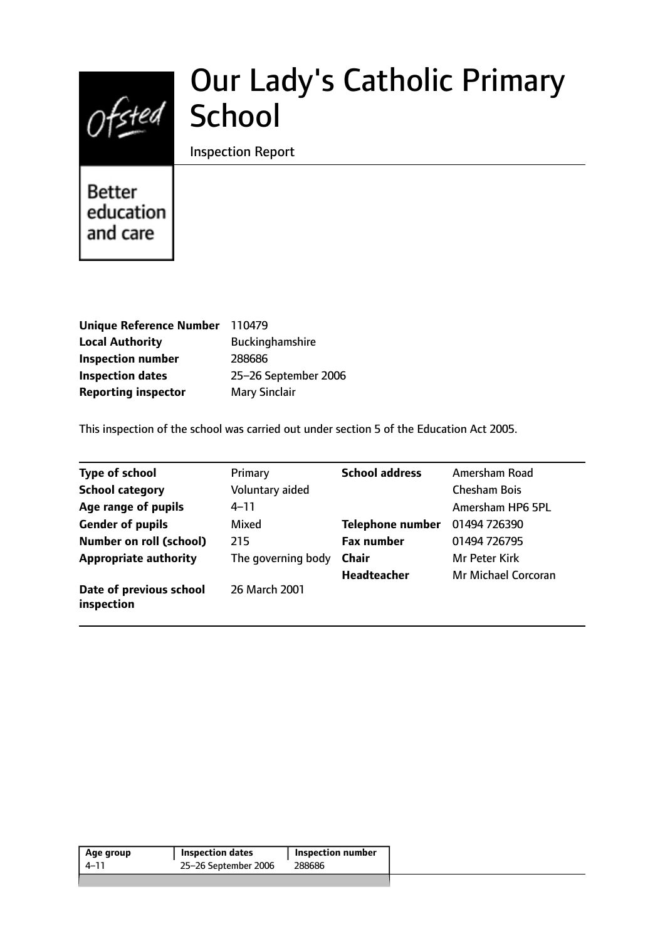

# Our Lady's Catholic Primary **School**

## Inspection Report

**Better** education and care

| <b>Unique Reference Number</b> | 110479                 |
|--------------------------------|------------------------|
| <b>Local Authority</b>         | <b>Buckinghamshire</b> |
| <b>Inspection number</b>       | 288686                 |
| <b>Inspection dates</b>        | 25-26 September 2006   |
| <b>Reporting inspector</b>     | <b>Mary Sinclair</b>   |

This inspection of the school was carried out under section 5 of the Education Act 2005.

| <b>Type of school</b>                 | Primary            | <b>School address</b>   | Amersham Road        |
|---------------------------------------|--------------------|-------------------------|----------------------|
| <b>School category</b>                | Voluntary aided    |                         | <b>Chesham Bois</b>  |
| Age range of pupils                   | $4 - 11$           |                         | Amersham HP6 5PL     |
| <b>Gender of pupils</b>               | Mixed              | <b>Telephone number</b> | 01494 726390         |
| <b>Number on roll (school)</b>        | 215                | <b>Fax number</b>       | 01494 726795         |
| <b>Appropriate authority</b>          | The governing body | <b>Chair</b>            | <b>Mr Peter Kirk</b> |
|                                       |                    | <b>Headteacher</b>      | Mr Michael Corcoran  |
| Date of previous school<br>inspection | 26 March 2001      |                         |                      |

| Age group | <b>Inspection dates</b> | <b>Inspection number</b> |
|-----------|-------------------------|--------------------------|
| 4–11      | 25-26 September 2006    | 288686                   |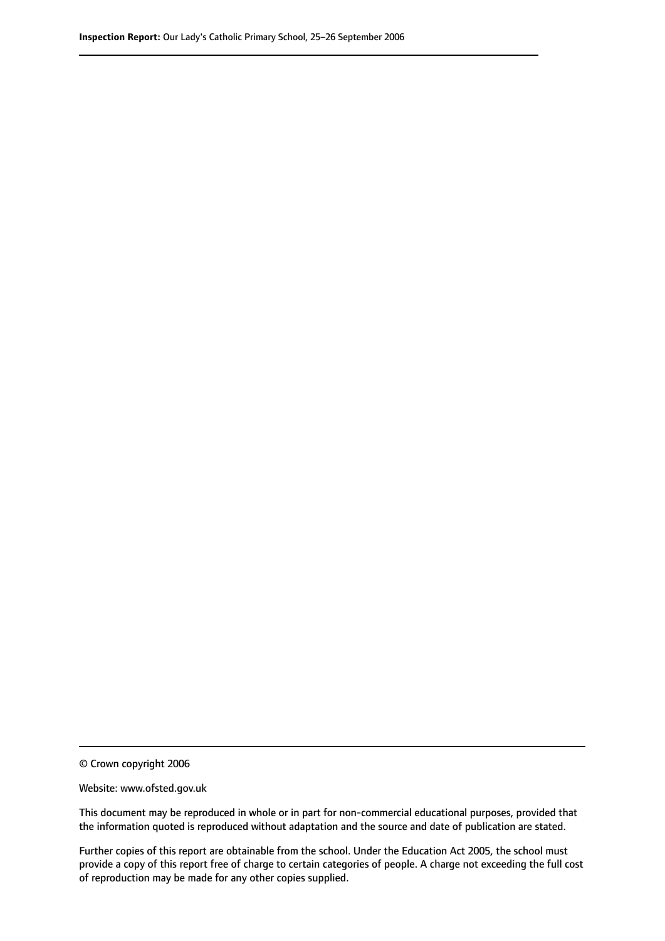© Crown copyright 2006

Website: www.ofsted.gov.uk

This document may be reproduced in whole or in part for non-commercial educational purposes, provided that the information quoted is reproduced without adaptation and the source and date of publication are stated.

Further copies of this report are obtainable from the school. Under the Education Act 2005, the school must provide a copy of this report free of charge to certain categories of people. A charge not exceeding the full cost of reproduction may be made for any other copies supplied.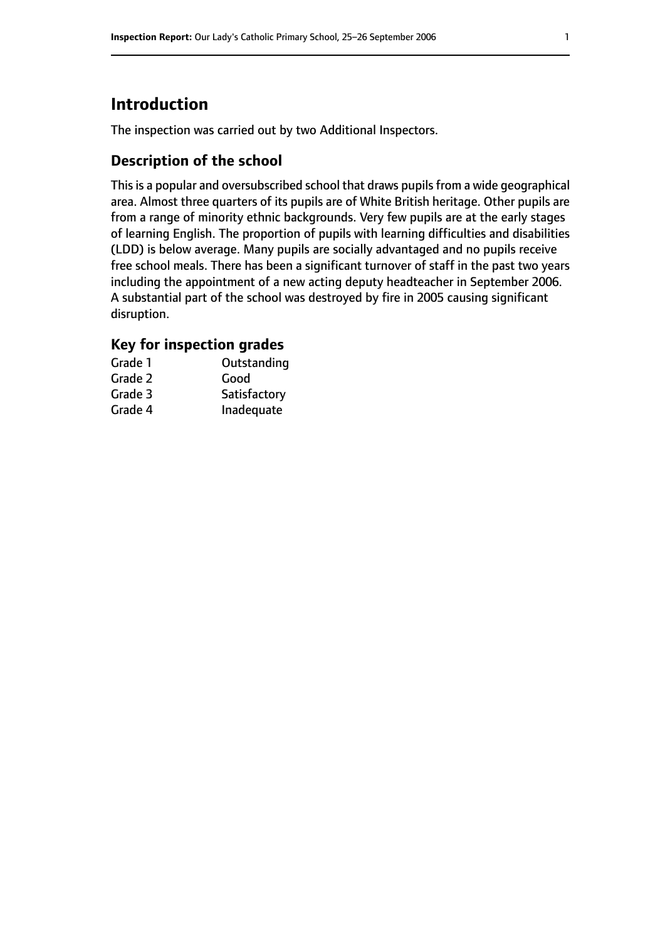# **Introduction**

The inspection was carried out by two Additional Inspectors.

## **Description of the school**

This is a popular and oversubscribed school that draws pupils from a wide geographical area. Almost three quarters of its pupils are of White British heritage. Other pupils are from a range of minority ethnic backgrounds. Very few pupils are at the early stages of learning English. The proportion of pupils with learning difficulties and disabilities (LDD) is below average. Many pupils are socially advantaged and no pupils receive free school meals. There has been a significant turnover of staff in the past two years including the appointment of a new acting deputy headteacher in September 2006. A substantial part of the school was destroyed by fire in 2005 causing significant disruption.

## **Key for inspection grades**

| Grade 1 | Outstanding  |
|---------|--------------|
| Grade 2 | Good         |
| Grade 3 | Satisfactory |
| Grade 4 | Inadequate   |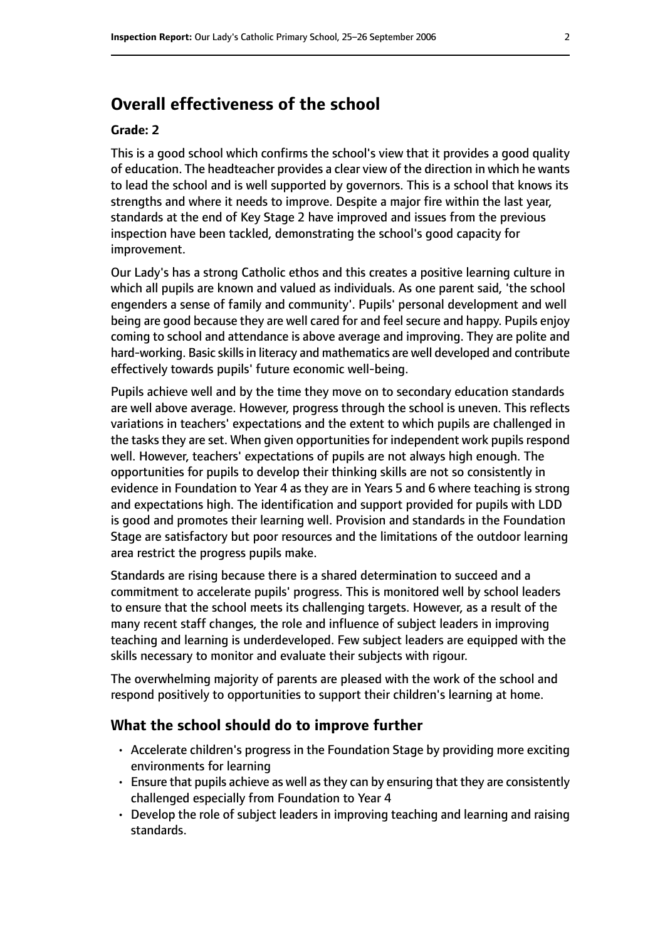## **Overall effectiveness of the school**

#### **Grade: 2**

This is a good school which confirms the school's view that it provides a good quality of education. The headteacher provides a clear view of the direction in which he wants to lead the school and is well supported by governors. This is a school that knows its strengths and where it needs to improve. Despite a major fire within the last year, standards at the end of Key Stage 2 have improved and issues from the previous inspection have been tackled, demonstrating the school's good capacity for improvement.

Our Lady's has a strong Catholic ethos and this creates a positive learning culture in which all pupils are known and valued as individuals. As one parent said, 'the school engenders a sense of family and community'. Pupils' personal development and well being are good because they are well cared for and feel secure and happy. Pupils enjoy coming to school and attendance is above average and improving. They are polite and hard-working. Basic skills in literacy and mathematics are well developed and contribute effectively towards pupils' future economic well-being.

Pupils achieve well and by the time they move on to secondary education standards are well above average. However, progress through the school is uneven. This reflects variations in teachers' expectations and the extent to which pupils are challenged in the tasks they are set. When given opportunities for independent work pupils respond well. However, teachers' expectations of pupils are not always high enough. The opportunities for pupils to develop their thinking skills are not so consistently in evidence in Foundation to Year 4 as they are in Years 5 and 6 where teaching is strong and expectations high. The identification and support provided for pupils with LDD is good and promotes their learning well. Provision and standards in the Foundation Stage are satisfactory but poor resources and the limitations of the outdoor learning area restrict the progress pupils make.

Standards are rising because there is a shared determination to succeed and a commitment to accelerate pupils' progress. This is monitored well by school leaders to ensure that the school meets its challenging targets. However, as a result of the many recent staff changes, the role and influence of subject leaders in improving teaching and learning is underdeveloped. Few subject leaders are equipped with the skills necessary to monitor and evaluate their subjects with rigour.

The overwhelming majority of parents are pleased with the work of the school and respond positively to opportunities to support their children's learning at home.

#### **What the school should do to improve further**

- Accelerate children's progress in the Foundation Stage by providing more exciting environments for learning
- $\cdot$  Ensure that pupils achieve as well as they can by ensuring that they are consistently challenged especially from Foundation to Year 4
- Develop the role of subject leaders in improving teaching and learning and raising standards.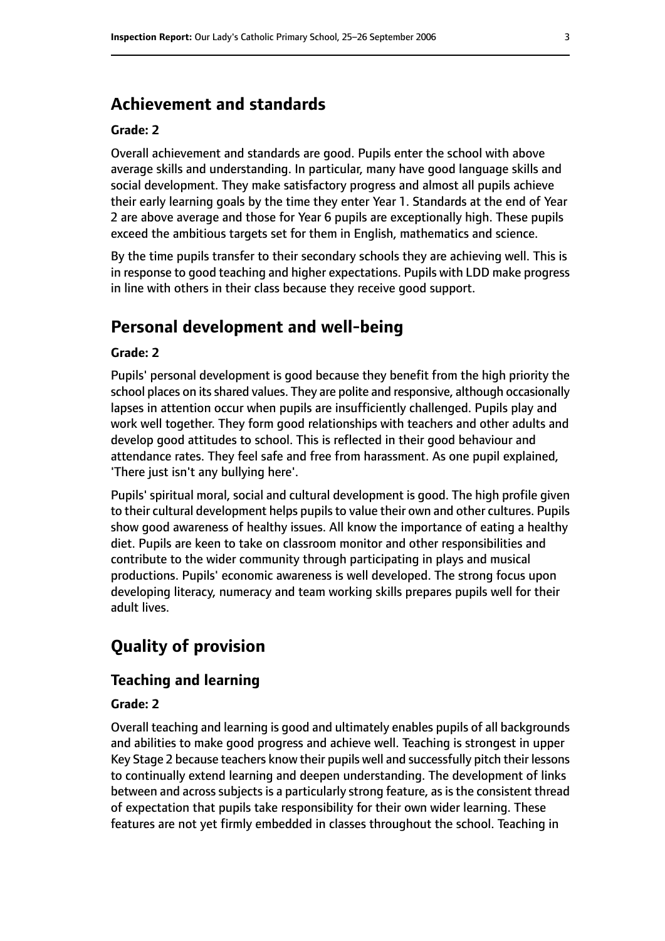## **Achievement and standards**

#### **Grade: 2**

Overall achievement and standards are good. Pupils enter the school with above average skills and understanding. In particular, many have good language skills and social development. They make satisfactory progress and almost all pupils achieve their early learning goals by the time they enter Year 1. Standards at the end of Year 2 are above average and those for Year 6 pupils are exceptionally high. These pupils exceed the ambitious targets set for them in English, mathematics and science.

By the time pupils transfer to their secondary schools they are achieving well. This is in response to good teaching and higher expectations. Pupils with LDD make progress in line with others in their class because they receive good support.

## **Personal development and well-being**

#### **Grade: 2**

Pupils' personal development is good because they benefit from the high priority the school places on its shared values. They are polite and responsive, although occasionally lapses in attention occur when pupils are insufficiently challenged. Pupils play and work well together. They form good relationships with teachers and other adults and develop good attitudes to school. This is reflected in their good behaviour and attendance rates. They feel safe and free from harassment. As one pupil explained, 'There just isn't any bullying here'.

Pupils' spiritual moral, social and cultural development is good. The high profile given to their cultural development helps pupils to value their own and other cultures. Pupils show good awareness of healthy issues. All know the importance of eating a healthy diet. Pupils are keen to take on classroom monitor and other responsibilities and contribute to the wider community through participating in plays and musical productions. Pupils' economic awareness is well developed. The strong focus upon developing literacy, numeracy and team working skills prepares pupils well for their adult lives.

# **Quality of provision**

#### **Teaching and learning**

#### **Grade: 2**

Overall teaching and learning is good and ultimately enables pupils of all backgrounds and abilities to make good progress and achieve well. Teaching is strongest in upper Key Stage 2 because teachers know their pupils well and successfully pitch their lessons to continually extend learning and deepen understanding. The development of links between and across subjects is a particularly strong feature, as is the consistent thread of expectation that pupils take responsibility for their own wider learning. These features are not yet firmly embedded in classes throughout the school. Teaching in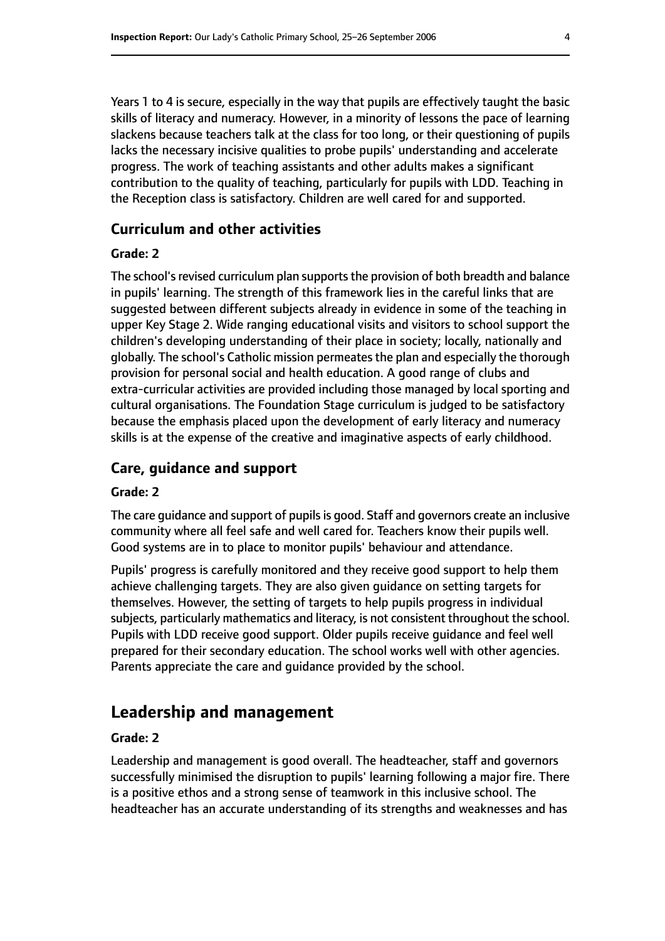Years 1 to 4 is secure, especially in the way that pupils are effectively taught the basic skills of literacy and numeracy. However, in a minority of lessons the pace of learning slackens because teachers talk at the class for too long, or their questioning of pupils lacks the necessary incisive qualities to probe pupils' understanding and accelerate progress. The work of teaching assistants and other adults makes a significant contribution to the quality of teaching, particularly for pupils with LDD. Teaching in the Reception class is satisfactory. Children are well cared for and supported.

#### **Curriculum and other activities**

#### **Grade: 2**

The school's revised curriculum plan supports the provision of both breadth and balance in pupils' learning. The strength of this framework lies in the careful links that are suggested between different subjects already in evidence in some of the teaching in upper Key Stage 2. Wide ranging educational visits and visitors to school support the children's developing understanding of their place in society; locally, nationally and globally. The school's Catholic mission permeatesthe plan and especially the thorough provision for personal social and health education. A good range of clubs and extra-curricular activities are provided including those managed by local sporting and cultural organisations. The Foundation Stage curriculum is judged to be satisfactory because the emphasis placed upon the development of early literacy and numeracy skills is at the expense of the creative and imaginative aspects of early childhood.

#### **Care, guidance and support**

#### **Grade: 2**

The care guidance and support of pupils is good. Staff and governors create an inclusive community where all feel safe and well cared for. Teachers know their pupils well. Good systems are in to place to monitor pupils' behaviour and attendance.

Pupils' progress is carefully monitored and they receive good support to help them achieve challenging targets. They are also given guidance on setting targets for themselves. However, the setting of targets to help pupils progress in individual subjects, particularly mathematics and literacy, is not consistent throughout the school. Pupils with LDD receive good support. Older pupils receive guidance and feel well prepared for their secondary education. The school works well with other agencies. Parents appreciate the care and guidance provided by the school.

## **Leadership and management**

#### **Grade: 2**

Leadership and management is good overall. The headteacher, staff and governors successfully minimised the disruption to pupils' learning following a major fire. There is a positive ethos and a strong sense of teamwork in this inclusive school. The headteacher has an accurate understanding of its strengths and weaknesses and has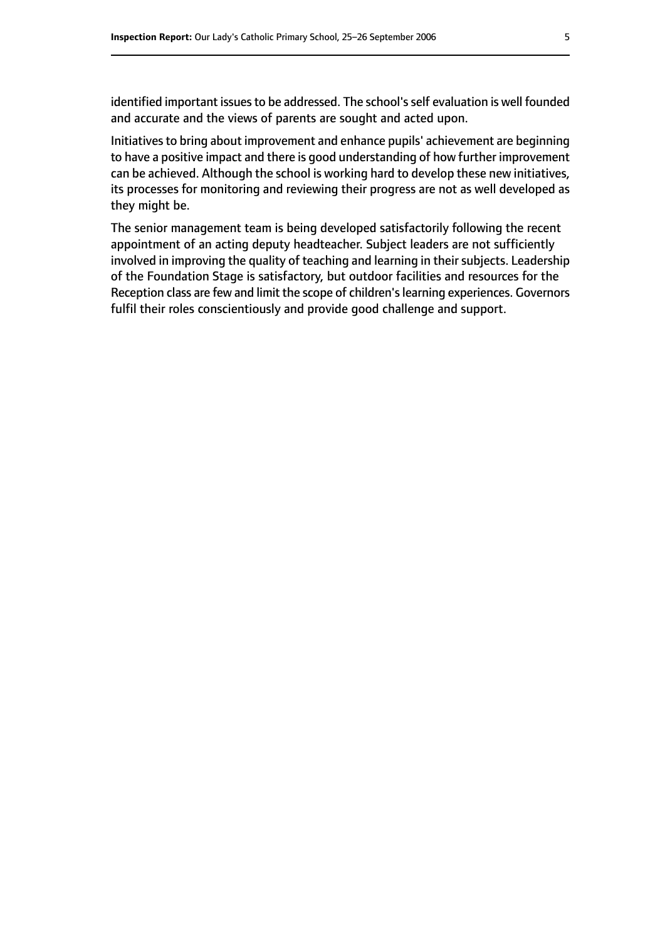identified important issues to be addressed. The school's self evaluation is well founded and accurate and the views of parents are sought and acted upon.

Initiatives to bring about improvement and enhance pupils' achievement are beginning to have a positive impact and there is good understanding of how further improvement can be achieved. Although the school is working hard to develop these new initiatives, its processes for monitoring and reviewing their progress are not as well developed as they might be.

The senior management team is being developed satisfactorily following the recent appointment of an acting deputy headteacher. Subject leaders are not sufficiently involved in improving the quality of teaching and learning in their subjects. Leadership of the Foundation Stage is satisfactory, but outdoor facilities and resources for the Reception class are few and limit the scope of children's learning experiences. Governors fulfil their roles conscientiously and provide good challenge and support.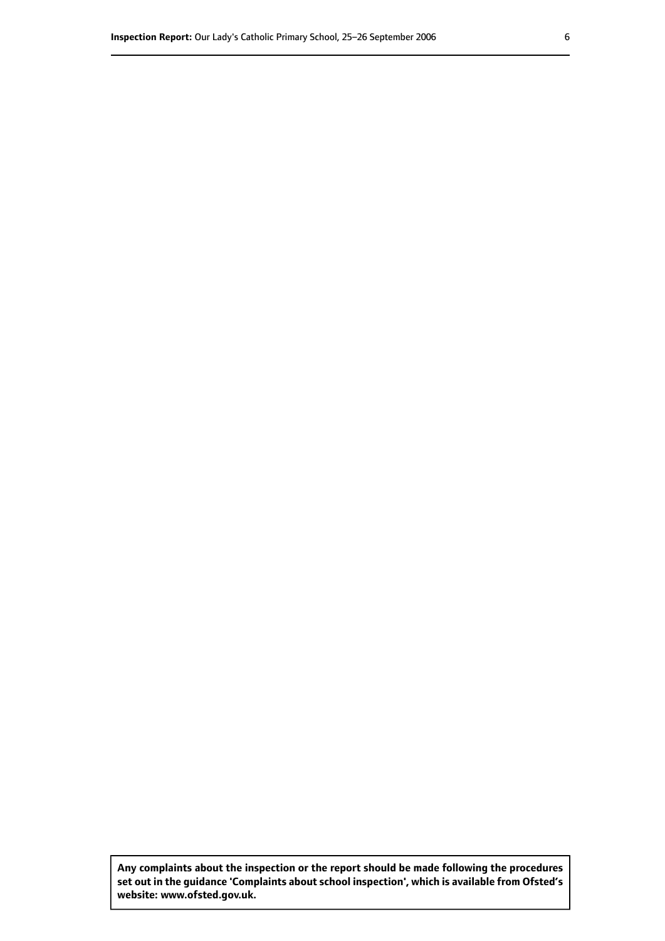**Any complaints about the inspection or the report should be made following the procedures set out inthe guidance 'Complaints about school inspection', whichis available from Ofsted's website: www.ofsted.gov.uk.**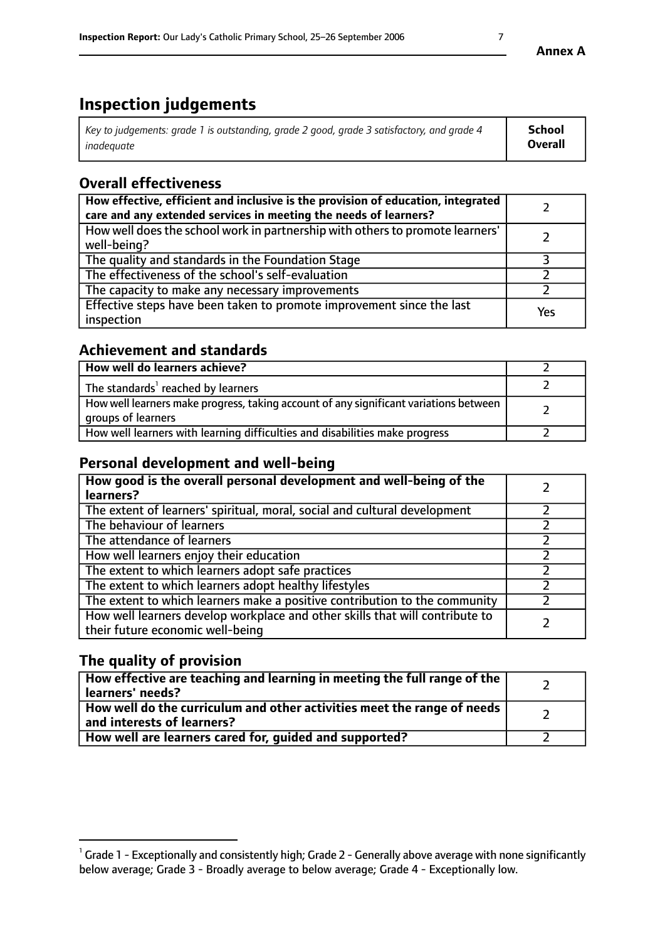# **Inspection judgements**

| Key to judgements: grade 1 is outstanding, grade 2 good, grade 3 satisfactory, and grade 4 | School         |
|--------------------------------------------------------------------------------------------|----------------|
| inadeauate                                                                                 | <b>Overall</b> |

# **Overall effectiveness**

| How effective, efficient and inclusive is the provision of education, integrated<br>care and any extended services in meeting the needs of learners? |     |
|------------------------------------------------------------------------------------------------------------------------------------------------------|-----|
| How well does the school work in partnership with others to promote learners'<br>well-being?                                                         |     |
| The quality and standards in the Foundation Stage                                                                                                    |     |
| The effectiveness of the school's self-evaluation                                                                                                    |     |
| The capacity to make any necessary improvements                                                                                                      |     |
| Effective steps have been taken to promote improvement since the last<br>inspection                                                                  | Yes |

## **Achievement and standards**

| How well do learners achieve?                                                                               |  |
|-------------------------------------------------------------------------------------------------------------|--|
| The standards <sup>1</sup> reached by learners                                                              |  |
| How well learners make progress, taking account of any significant variations between<br>groups of learners |  |
| How well learners with learning difficulties and disabilities make progress                                 |  |

## **Personal development and well-being**

| How good is the overall personal development and well-being of the<br>learners?                                  |  |
|------------------------------------------------------------------------------------------------------------------|--|
| The extent of learners' spiritual, moral, social and cultural development                                        |  |
| The behaviour of learners                                                                                        |  |
| The attendance of learners                                                                                       |  |
| How well learners enjoy their education                                                                          |  |
| The extent to which learners adopt safe practices                                                                |  |
| The extent to which learners adopt healthy lifestyles                                                            |  |
| The extent to which learners make a positive contribution to the community                                       |  |
| How well learners develop workplace and other skills that will contribute to<br>their future economic well-being |  |

## **The quality of provision**

| How effective are teaching and learning in meeting the full range of the<br>  learners' needs?                      |  |
|---------------------------------------------------------------------------------------------------------------------|--|
| $\mid$ How well do the curriculum and other activities meet the range of needs<br>$\mid$ and interests of learners? |  |
| How well are learners cared for, guided and supported?                                                              |  |

 $^1$  Grade 1 - Exceptionally and consistently high; Grade 2 - Generally above average with none significantly below average; Grade 3 - Broadly average to below average; Grade 4 - Exceptionally low.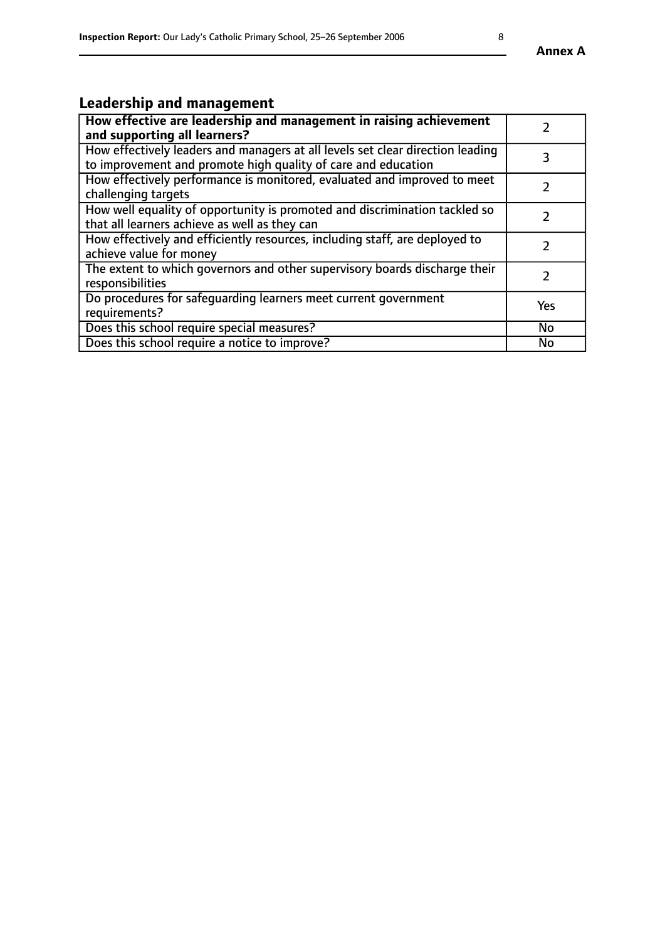# **Leadership and management**

| How effective are leadership and management in raising achievement<br>and supporting all learners?                                              |               |
|-------------------------------------------------------------------------------------------------------------------------------------------------|---------------|
| How effectively leaders and managers at all levels set clear direction leading<br>to improvement and promote high quality of care and education |               |
| How effectively performance is monitored, evaluated and improved to meet<br>challenging targets                                                 |               |
| How well equality of opportunity is promoted and discrimination tackled so<br>that all learners achieve as well as they can                     |               |
| How effectively and efficiently resources, including staff, are deployed to<br>achieve value for money                                          | $\mathcal{P}$ |
| The extent to which governors and other supervisory boards discharge their<br>responsibilities                                                  |               |
| Do procedures for safequarding learners meet current government<br>requirements?                                                                | Yes           |
| Does this school require special measures?                                                                                                      | No            |
| Does this school require a notice to improve?                                                                                                   | <b>No</b>     |